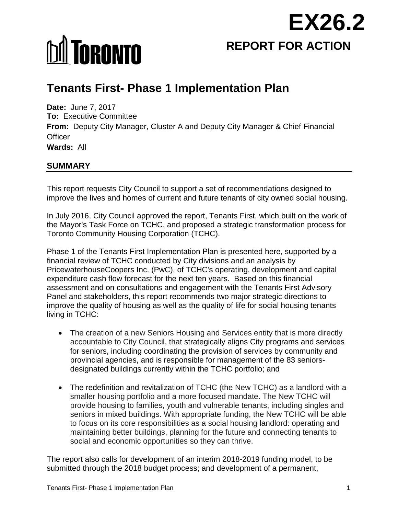

# **MI TORONTO**

# **Tenants First- Phase 1 Implementation Plan**

**Date:** June 7, 2017 **To:** Executive Committee **From:** Deputy City Manager, Cluster A and Deputy City Manager & Chief Financial **Officer Wards:** All

# **SUMMARY**

This report requests City Council to support a set of recommendations designed to improve the lives and homes of current and future tenants of city owned social housing.

In July 2016, City Council approved the report, Tenants First, which built on the work of the Mayor's Task Force on TCHC, and proposed a strategic transformation process for Toronto Community Housing Corporation (TCHC).

Phase 1 of the Tenants First Implementation Plan is presented here, supported by a financial review of TCHC conducted by City divisions and an analysis by PricewaterhouseCoopers Inc. (PwC), of TCHC's operating, development and capital expenditure cash flow forecast for the next ten years. Based on this financial assessment and on consultations and engagement with the Tenants First Advisory Panel and stakeholders, this report recommends two major strategic directions to improve the quality of housing as well as the quality of life for social housing tenants living in TCHC:

- The creation of a new Seniors Housing and Services entity that is more directly accountable to City Council, that strategically aligns City programs and services for seniors, including coordinating the provision of services by community and provincial agencies, and is responsible for management of the 83 seniorsdesignated buildings currently within the TCHC portfolio; and
- The redefinition and revitalization of TCHC (the New TCHC) as a landlord with a smaller housing portfolio and a more focused mandate. The New TCHC will provide housing to families, youth and vulnerable tenants, including singles and seniors in mixed buildings. With appropriate funding, the New TCHC will be able to focus on its core responsibilities as a social housing landlord: operating and maintaining better buildings, planning for the future and connecting tenants to social and economic opportunities so they can thrive.

The report also calls for development of an interim 2018-2019 funding model, to be submitted through the 2018 budget process; and development of a permanent,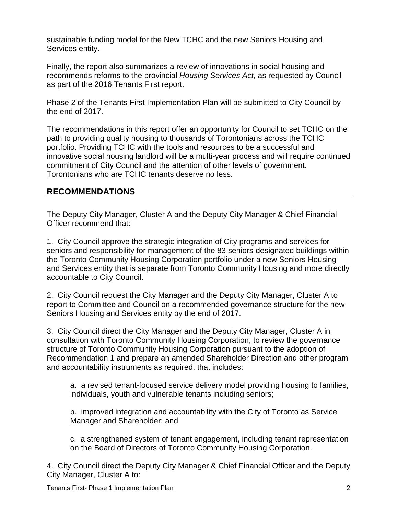sustainable funding model for the New TCHC and the new Seniors Housing and Services entity.

Finally, the report also summarizes a review of innovations in social housing and recommends reforms to the provincial *Housing Services Act,* as requested by Council as part of the 2016 Tenants First report.

Phase 2 of the Tenants First Implementation Plan will be submitted to City Council by the end of 2017.

The recommendations in this report offer an opportunity for Council to set TCHC on the path to providing quality housing to thousands of Torontonians across the TCHC portfolio. Providing TCHC with the tools and resources to be a successful and innovative social housing landlord will be a multi-year process and will require continued commitment of City Council and the attention of other levels of government. Torontonians who are TCHC tenants deserve no less.

# **RECOMMENDATIONS**

The Deputy City Manager, Cluster A and the Deputy City Manager & Chief Financial Officer recommend that:

1. City Council approve the strategic integration of City programs and services for seniors and responsibility for management of the 83 seniors-designated buildings within the Toronto Community Housing Corporation portfolio under a new Seniors Housing and Services entity that is separate from Toronto Community Housing and more directly accountable to City Council.

2. City Council request the City Manager and the Deputy City Manager, Cluster A to report to Committee and Council on a recommended governance structure for the new Seniors Housing and Services entity by the end of 2017.

3. City Council direct the City Manager and the Deputy City Manager, Cluster A in consultation with Toronto Community Housing Corporation, to review the governance structure of Toronto Community Housing Corporation pursuant to the adoption of Recommendation 1 and prepare an amended Shareholder Direction and other program and accountability instruments as required, that includes:

a. a revised tenant-focused service delivery model providing housing to families, individuals, youth and vulnerable tenants including seniors;

b. improved integration and accountability with the City of Toronto as Service Manager and Shareholder; and

c. a strengthened system of tenant engagement, including tenant representation on the Board of Directors of Toronto Community Housing Corporation.

4. City Council direct the Deputy City Manager & Chief Financial Officer and the Deputy City Manager, Cluster A to: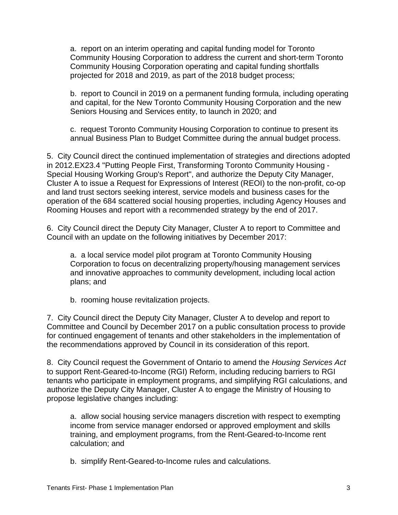a. report on an interim operating and capital funding model for Toronto Community Housing Corporation to address the current and short-term Toronto Community Housing Corporation operating and capital funding shortfalls projected for 2018 and 2019, as part of the 2018 budget process;

b. report to Council in 2019 on a permanent funding formula, including operating and capital, for the New Toronto Community Housing Corporation and the new Seniors Housing and Services entity, to launch in 2020; and

c. request Toronto Community Housing Corporation to continue to present its annual Business Plan to Budget Committee during the annual budget process.

5. City Council direct the continued implementation of strategies and directions adopted in 2012.EX23.4 "Putting People First, Transforming Toronto Community Housing - Special Housing Working Group's Report", and authorize the Deputy City Manager, Cluster A to issue a Request for Expressions of Interest (REOI) to the non-profit, co-op and land trust sectors seeking interest, service models and business cases for the operation of the 684 scattered social housing properties, including Agency Houses and Rooming Houses and report with a recommended strategy by the end of 2017.

6. City Council direct the Deputy City Manager, Cluster A to report to Committee and Council with an update on the following initiatives by December 2017:

a. a local service model pilot program at Toronto Community Housing Corporation to focus on decentralizing property/housing management services and innovative approaches to community development, including local action plans; and

b. rooming house revitalization projects.

7. City Council direct the Deputy City Manager, Cluster A to develop and report to Committee and Council by December 2017 on a public consultation process to provide for continued engagement of tenants and other stakeholders in the implementation of the recommendations approved by Council in its consideration of this report.

8. City Council request the Government of Ontario to amend the *Housing Services Act* to support Rent-Geared-to-Income (RGI) Reform, including reducing barriers to RGI tenants who participate in employment programs, and simplifying RGI calculations, and authorize the Deputy City Manager, Cluster A to engage the Ministry of Housing to propose legislative changes including:

a. allow social housing service managers discretion with respect to exempting income from service manager endorsed or approved employment and skills training, and employment programs, from the Rent-Geared-to-Income rent calculation; and

b. simplify Rent-Geared-to-Income rules and calculations.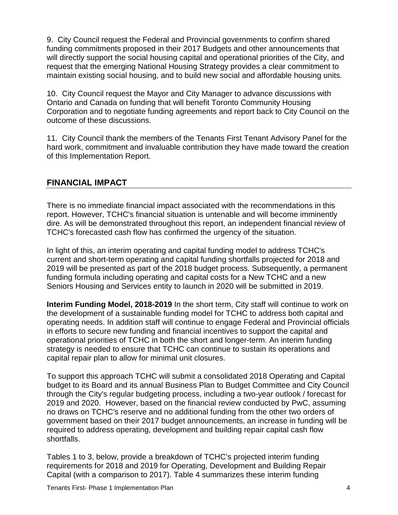9. City Council request the Federal and Provincial governments to confirm shared funding commitments proposed in their 2017 Budgets and other announcements that will directly support the social housing capital and operational priorities of the City, and request that the emerging National Housing Strategy provides a clear commitment to maintain existing social housing, and to build new social and affordable housing units.

10. City Council request the Mayor and City Manager to advance discussions with Ontario and Canada on funding that will benefit Toronto Community Housing Corporation and to negotiate funding agreements and report back to City Council on the outcome of these discussions.

11. City Council thank the members of the Tenants First Tenant Advisory Panel for the hard work, commitment and invaluable contribution they have made toward the creation of this Implementation Report.

# **FINANCIAL IMPACT**

There is no immediate financial impact associated with the recommendations in this report. However, TCHC's financial situation is untenable and will become imminently dire. As will be demonstrated throughout this report, an independent financial review of TCHC's forecasted cash flow has confirmed the urgency of the situation.

In light of this, an interim operating and capital funding model to address TCHC's current and short-term operating and capital funding shortfalls projected for 2018 and 2019 will be presented as part of the 2018 budget process. Subsequently, a permanent funding formula including operating and capital costs for a New TCHC and a new Seniors Housing and Services entity to launch in 2020 will be submitted in 2019.

**Interim Funding Model, 2018-2019** In the short term, City staff will continue to work on the development of a sustainable funding model for TCHC to address both capital and operating needs. In addition staff will continue to engage Federal and Provincial officials in efforts to secure new funding and financial incentives to support the capital and operational priorities of TCHC in both the short and longer-term. An interim funding strategy is needed to ensure that TCHC can continue to sustain its operations and capital repair plan to allow for minimal unit closures.

To support this approach TCHC will submit a consolidated 2018 Operating and Capital budget to its Board and its annual Business Plan to Budget Committee and City Council through the City's regular budgeting process, including a two-year outlook / forecast for 2019 and 2020. However, based on the financial review conducted by PwC, assuming no draws on TCHC's reserve and no additional funding from the other two orders of government based on their 2017 budget announcements, an increase in funding will be required to address operating, development and building repair capital cash flow shortfalls.

Tables 1 to 3, below, provide a breakdown of TCHC's projected interim funding requirements for 2018 and 2019 for Operating, Development and Building Repair Capital (with a comparison to 2017). Table 4 summarizes these interim funding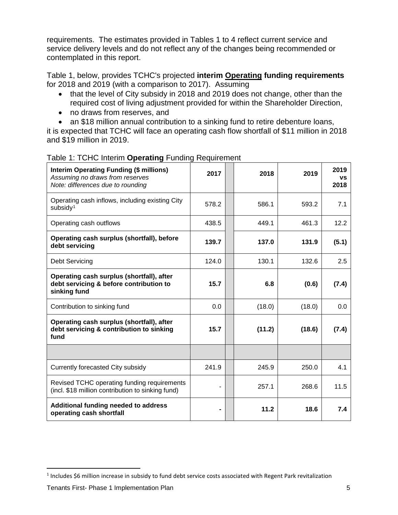requirements. The estimates provided in Tables 1 to 4 reflect current service and service delivery levels and do not reflect any of the changes being recommended or contemplated in this report.

Table 1, below, provides TCHC's projected **interim Operating funding requirements** for 2018 and 2019 (with a comparison to 2017). Assuming

- that the level of City subsidy in 2018 and 2019 does not change, other than the required cost of living adjustment provided for within the Shareholder Direction,
- no draws from reserves, and
- an \$18 million annual contribution to a sinking fund to retire debenture loans,

it is expected that TCHC will face an operating cash flow shortfall of \$11 million in 2018 and \$19 million in 2019.

| <b>Interim Operating Funding (\$ millions)</b><br>Assuming no draws from reserves<br>Note: differences due to rounding | 2017  | 2018   | 2019   | 2019<br>VS<br>2018 |
|------------------------------------------------------------------------------------------------------------------------|-------|--------|--------|--------------------|
| Operating cash inflows, including existing City<br>subsidy <sup>1</sup>                                                | 578.2 | 586.1  | 593.2  | 7.1                |
| Operating cash outflows                                                                                                | 438.5 | 449.1  | 461.3  | 12.2               |
| Operating cash surplus (shortfall), before<br>debt servicing                                                           | 139.7 | 137.0  | 131.9  | (5.1)              |
| Debt Servicing                                                                                                         | 124.0 | 130.1  | 132.6  | 2.5                |
| Operating cash surplus (shortfall), after<br>debt servicing & before contribution to<br>sinking fund                   | 15.7  | 6.8    | (0.6)  | (7.4)              |
| Contribution to sinking fund                                                                                           | 0.0   | (18.0) | (18.0) | 0.0                |
| Operating cash surplus (shortfall), after<br>debt servicing & contribution to sinking<br>fund                          | 15.7  | (11.2) | (18.6) | (7.4)              |
|                                                                                                                        |       |        |        |                    |
| Currently forecasted City subsidy                                                                                      | 241.9 | 245.9  | 250.0  | 4.1                |
| Revised TCHC operating funding requirements<br>(incl. \$18 million contribution to sinking fund)                       |       | 257.1  | 268.6  | 11.5               |
| Additional funding needed to address<br>operating cash shortfall                                                       | ۰     | 11.2   | 18.6   | 7.4                |

#### Table 1: TCHC Interim **Operating** Funding Requirement

<span id="page-4-0"></span> $1$  Includes \$6 million increase in subsidy to fund debt service costs associated with Regent Park revitalization l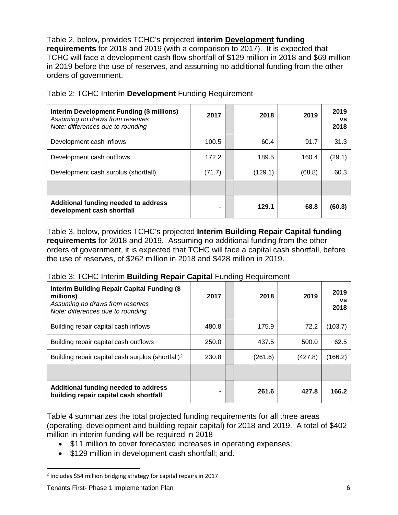Table 2, below, provides TCHC's projected **interim Development funding requirements** for 2018 and 2019 (with a comparison to 2017). It is expected that TCHC will face a development cash flow shortfall of \$129 million in 2018 and \$69 million in 2019 before the use of reserves, and assuming no additional funding from the other orders of government.

| Interim Development Funding (\$ millions)<br>Assuming no draws from reserves<br>Note: differences due to rounding | 2017   | 2018    | 2019   | 2019<br>VS<br>2018 |
|-------------------------------------------------------------------------------------------------------------------|--------|---------|--------|--------------------|
| Development cash inflows                                                                                          | 100.5  | 60.4    | 91.7   | 31.3               |
| Development cash outflows                                                                                         | 172.2  | 189.5   | 160.4  | (29.1)             |
| Development cash surplus (shortfall)                                                                              | (71.7) | (129.1) | (68.8) | 60.3               |
|                                                                                                                   |        |         |        |                    |
| Additional funding needed to address<br>development cash shortfall                                                | ۰      | 129.1   | 68.8   | (60.3)             |

Table 2: TCHC Interim **Development** Funding Requirement

Table 3, below, provides TCHC's projected **Interim Building Repair Capital funding requirements** for 2018 and 2019. Assuming no additional funding from the other orders of government, it is expected that TCHC will face a capital cash shortfall, before the use of reserves, of \$262 million in 2018 and \$428 million in 2019.

#### Table 3: TCHC Interim **Building Repair Capital** Funding Requirement

| <b>Interim Building Repair Capital Funding (\$</b><br>millions)<br>Assuming no draws from reserves<br>Note: differences due to rounding | 2017  | 2018    | 2019    | 2019<br>VS<br>2018 |
|-----------------------------------------------------------------------------------------------------------------------------------------|-------|---------|---------|--------------------|
| Building repair capital cash inflows                                                                                                    | 480.8 | 175.9   | 72.2    | (103.7)            |
| Building repair capital cash outflows                                                                                                   | 250.0 | 437.5   | 500.0   | 62.5               |
| Building repair capital cash surplus (shortfall) <sup>2</sup>                                                                           | 230.8 | (261.6) | (427.8) | (166.2)            |
|                                                                                                                                         |       |         |         |                    |
| Additional funding needed to address<br>building repair capital cash shortfall                                                          |       | 261.6   | 427.8   | 166.2              |

Table 4 summarizes the total projected funding requirements for all three areas (operating, development and building repair capital) for 2018 and 2019. A total of \$402 million in interim funding will be required in 2018

- \$11 million to cover forecasted increases in operating expenses:
- \$129 million in development cash shortfall; and.

l

<span id="page-5-0"></span><sup>2</sup> Includes \$54 million bridging strategy for capital repairs in 2017

Tenants First- Phase 1 Implementation Plan 6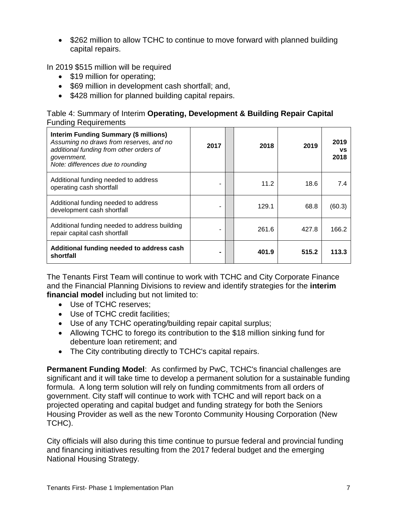• \$262 million to allow TCHC to continue to move forward with planned building capital repairs.

In 2019 \$515 million will be required

- \$19 million for operating;
- \$69 million in development cash shortfall; and,
- \$428 million for planned building capital repairs.

| Table 4: Summary of Interim Operating, Development & Building Repair Capital |  |  |
|------------------------------------------------------------------------------|--|--|
| <b>Funding Requirements</b>                                                  |  |  |

| <b>Interim Funding Summary (\$ millions)</b><br>Assuming no draws from reserves, and no<br>additional funding from other orders of<br>government.<br>Note: differences due to rounding | 2017 | 2018  | 2019  | 2019<br>VS<br>2018 |
|----------------------------------------------------------------------------------------------------------------------------------------------------------------------------------------|------|-------|-------|--------------------|
| Additional funding needed to address<br>operating cash shortfall                                                                                                                       |      | 11.2  | 18.6  | 7.4                |
| Additional funding needed to address<br>development cash shortfall                                                                                                                     |      | 129.1 | 68.8  | (60.3)             |
| Additional funding needed to address building<br>repair capital cash shortfall                                                                                                         | -    | 261.6 | 427.8 | 166.2              |
| Additional funding needed to address cash<br>shortfall                                                                                                                                 |      | 401.9 | 515.2 | 113.3              |

The Tenants First Team will continue to work with TCHC and City Corporate Finance and the Financial Planning Divisions to review and identify strategies for the **interim financial model** including but not limited to:

- Use of TCHC reserves;
- Use of TCHC credit facilities;
- Use of any TCHC operating/building repair capital surplus;
- Allowing TCHC to forego its contribution to the \$18 million sinking fund for debenture loan retirement; and
- The City contributing directly to TCHC's capital repairs.

**Permanent Funding Model**: As confirmed by PwC, TCHC's financial challenges are significant and it will take time to develop a permanent solution for a sustainable funding formula. A long term solution will rely on funding commitments from all orders of government. City staff will continue to work with TCHC and will report back on a projected operating and capital budget and funding strategy for both the Seniors Housing Provider as well as the new Toronto Community Housing Corporation (New TCHC).

City officials will also during this time continue to pursue federal and provincial funding and financing initiatives resulting from the 2017 federal budget and the emerging National Housing Strategy.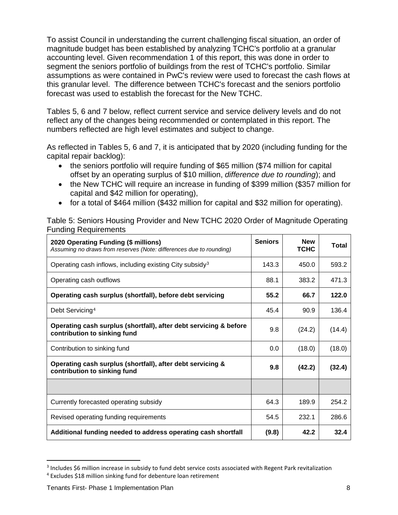To assist Council in understanding the current challenging fiscal situation, an order of magnitude budget has been established by analyzing TCHC's portfolio at a granular accounting level. Given recommendation 1 of this report, this was done in order to segment the seniors portfolio of buildings from the rest of TCHC's portfolio. Similar assumptions as were contained in PwC's review were used to forecast the cash flows at this granular level. The difference between TCHC's forecast and the seniors portfolio forecast was used to establish the forecast for the New TCHC.

Tables 5, 6 and 7 below, reflect current service and service delivery levels and do not reflect any of the changes being recommended or contemplated in this report. The numbers reflected are high level estimates and subject to change.

As reflected in Tables 5, 6 and 7, it is anticipated that by 2020 (including funding for the capital repair backlog):

- the seniors portfolio will require funding of \$65 million (\$74 million for capital offset by an operating surplus of \$10 million, *difference due to rounding*); and
- the New TCHC will require an increase in funding of \$399 million (\$357 million for capital and \$42 million for operating),
- for a total of \$464 million (\$432 million for capital and \$32 million for operating).

Table 5: Seniors Housing Provider and New TCHC 2020 Order of Magnitude Operating Funding Requirements

| 2020 Operating Funding (\$ millions)<br>Assuming no draws from reserves (Note: differences due to rounding) | <b>Seniors</b> | <b>New</b><br><b>TCHC</b> | Total  |
|-------------------------------------------------------------------------------------------------------------|----------------|---------------------------|--------|
| Operating cash inflows, including existing City subsidy <sup>3</sup>                                        | 143.3          | 450.0                     | 593.2  |
| Operating cash outflows                                                                                     | 88.1           | 383.2                     | 471.3  |
| Operating cash surplus (shortfall), before debt servicing                                                   | 55.2           | 66.7                      | 122.0  |
| Debt Servicing <sup>4</sup>                                                                                 | 45.4           | 90.9                      | 136.4  |
| Operating cash surplus (shortfall), after debt servicing & before<br>contribution to sinking fund           | 9.8            | (24.2)                    | (14.4) |
| Contribution to sinking fund                                                                                | 0.0            | (18.0)                    | (18.0) |
| Operating cash surplus (shortfall), after debt servicing &<br>contribution to sinking fund                  | 9.8            | (42.2)                    | (32.4) |
|                                                                                                             |                |                           |        |
| Currently forecasted operating subsidy                                                                      | 64.3           | 189.9                     | 254.2  |
| Revised operating funding requirements                                                                      | 54.5           | 232.1                     | 286.6  |
| Additional funding needed to address operating cash shortfall                                               | (9.8)          | 42.2                      | 32.4   |

<span id="page-7-0"></span><sup>3</sup> Includes \$6 million increase in subsidy to fund debt service costs associated with Regent Park revitalization

 $\overline{\phantom{a}}$ 

<span id="page-7-1"></span><sup>4</sup> Excludes \$18 million sinking fund for debenture loan retirement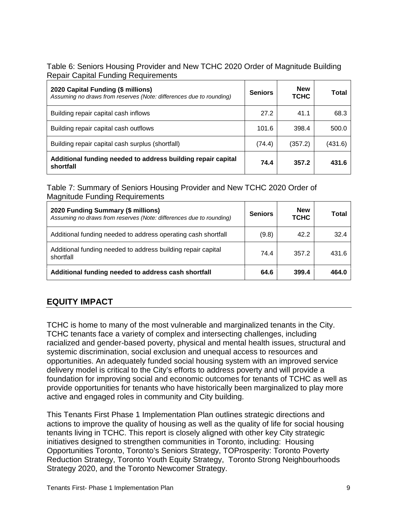#### Table 6: Seniors Housing Provider and New TCHC 2020 Order of Magnitude Building Repair Capital Funding Requirements

| 2020 Capital Funding (\$ millions)<br>Assuming no draws from reserves (Note: differences due to rounding) | <b>Seniors</b> | <b>New</b><br>тснс | Total   |
|-----------------------------------------------------------------------------------------------------------|----------------|--------------------|---------|
| Building repair capital cash inflows                                                                      | 27.2           | 41.1               | 68.3    |
| Building repair capital cash outflows                                                                     | 101.6          | 398.4              | 500.0   |
| Building repair capital cash surplus (shortfall)                                                          | (74.4)         | (357.2)            | (431.6) |
| Additional funding needed to address building repair capital<br>shortfall                                 | 74.4           | 357.2              | 431.6   |

# Table 7: Summary of Seniors Housing Provider and New TCHC 2020 Order of Magnitude Funding Requirements

| 2020 Funding Summary (\$ millions)<br>Assuming no draws from reserves (Note: differences due to rounding) | <b>Seniors</b> | <b>New</b><br><b>TCHC</b> | Total |
|-----------------------------------------------------------------------------------------------------------|----------------|---------------------------|-------|
| Additional funding needed to address operating cash shortfall                                             | (9.8)          | 42.2                      | 32.4  |
| Additional funding needed to address building repair capital<br>shortfall                                 | 74.4           | 357.2                     | 431.6 |
| Additional funding needed to address cash shortfall                                                       | 64.6           | 399.4                     | 464.0 |

# **EQUITY IMPACT**

TCHC is home to many of the most vulnerable and marginalized tenants in the City. TCHC tenants face a variety of complex and intersecting challenges, including racialized and gender-based poverty, physical and mental health issues, structural and systemic discrimination, social exclusion and unequal access to resources and opportunities. An adequately funded social housing system with an improved service delivery model is critical to the City's efforts to address poverty and will provide a foundation for improving social and economic outcomes for tenants of TCHC as well as provide opportunities for tenants who have historically been marginalized to play more active and engaged roles in community and City building.

This Tenants First Phase 1 Implementation Plan outlines strategic directions and actions to improve the quality of housing as well as the quality of life for social housing tenants living in TCHC. This report is closely aligned with other key City strategic initiatives designed to strengthen communities in Toronto, including: Housing Opportunities Toronto, Toronto's Seniors Strategy, TOProsperity: Toronto Poverty Reduction Strategy, Toronto Youth Equity Strategy, Toronto Strong Neighbourhoods Strategy 2020, and the Toronto Newcomer Strategy.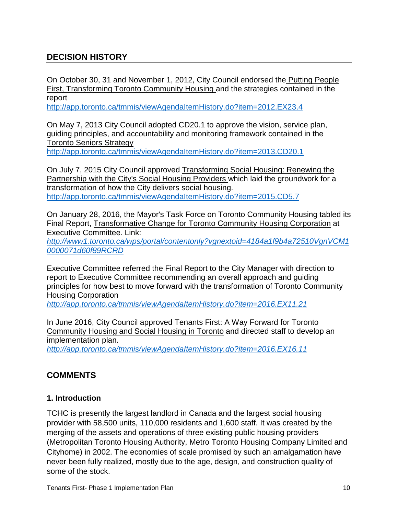# **DECISION HISTORY**

On October 30, 31 and November 1, 2012, City Council endorsed the Putting People First, Transforming Toronto Community Housing and the strategies contained in the report

<http://app.toronto.ca/tmmis/viewAgendaItemHistory.do?item=2012.EX23.4>

On May 7, 2013 City Council adopted CD20.1 to approve the vision, service plan, guiding principles, and accountability and monitoring framework contained in the Toronto Seniors Strategy

<http://app.toronto.ca/tmmis/viewAgendaItemHistory.do?item=2013.CD20.1>

On July 7, 2015 City Council approved Transforming Social Housing: Renewing the Partnership with the City's Social Housing Providers which laid the groundwork for a transformation of how the City delivers social housing. http://app.toronto.ca/tmmis/viewAgendaItemHistory.do?item=2015.CD5.7

On January 28, 2016, the Mayor's Task Force on Toronto Community Housing tabled its Final Report, Transformative Change for Toronto Community Housing Corporation at Executive Committee. Link:

*[http://www1.toronto.ca/wps/portal/contentonly?vgnextoid=4184a1f9b4a72510VgnVCM1](http://www1.toronto.ca/wps/portal/contentonly?vgnextoid=4184a1f9b4a72510VgnVCM10000071d60f89RCRD) [0000071d60f89RCRD](http://www1.toronto.ca/wps/portal/contentonly?vgnextoid=4184a1f9b4a72510VgnVCM10000071d60f89RCRD)*

Executive Committee referred the Final Report to the City Manager with direction to report to Executive Committee recommending an overall approach and guiding principles for how best to move forward with the transformation of Toronto Community Housing Corporation

*<http://app.toronto.ca/tmmis/viewAgendaItemHistory.do?item=2016.EX11.21>*

In June 2016, City Council approved Tenants First: A Way Forward for Toronto Community Housing and Social Housing in Toronto and directed staff to develop an implementation plan.

*<http://app.toronto.ca/tmmis/viewAgendaItemHistory.do?item=2016.EX16.11>*

# **COMMENTS**

#### **1. Introduction**

TCHC is presently the largest landlord in Canada and the largest social housing provider with 58,500 units, 110,000 residents and 1,600 staff. It was created by the merging of the assets and operations of three existing public housing providers (Metropolitan Toronto Housing Authority, Metro Toronto Housing Company Limited and Cityhome) in 2002. The economies of scale promised by such an amalgamation have never been fully realized, mostly due to the age, design, and construction quality of some of the stock.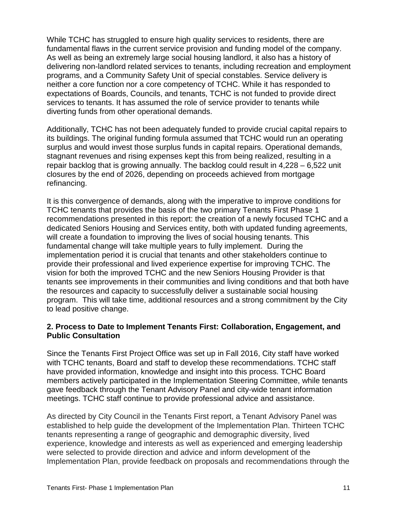While TCHC has struggled to ensure high quality services to residents, there are fundamental flaws in the current service provision and funding model of the company. As well as being an extremely large social housing landlord, it also has a history of delivering non-landlord related services to tenants, including recreation and employment programs, and a Community Safety Unit of special constables. Service delivery is neither a core function nor a core competency of TCHC. While it has responded to expectations of Boards, Councils, and tenants, TCHC is not funded to provide direct services to tenants. It has assumed the role of service provider to tenants while diverting funds from other operational demands.

Additionally, TCHC has not been adequately funded to provide crucial capital repairs to its buildings. The original funding formula assumed that TCHC would run an operating surplus and would invest those surplus funds in capital repairs. Operational demands, stagnant revenues and rising expenses kept this from being realized, resulting in a repair backlog that is growing annually. The backlog could result in 4,228 – 6,522 unit closures by the end of 2026, depending on proceeds achieved from mortgage refinancing.

It is this convergence of demands, along with the imperative to improve conditions for TCHC tenants that provides the basis of the two primary Tenants First Phase 1 recommendations presented in this report: the creation of a newly focused TCHC and a dedicated Seniors Housing and Services entity, both with updated funding agreements, will create a foundation to improving the lives of social housing tenants. This fundamental change will take multiple years to fully implement. During the implementation period it is crucial that tenants and other stakeholders continue to provide their professional and lived experience expertise for improving TCHC. The vision for both the improved TCHC and the new Seniors Housing Provider is that tenants see improvements in their communities and living conditions and that both have the resources and capacity to successfully deliver a sustainable social housing program. This will take time, additional resources and a strong commitment by the City to lead positive change.

#### **2. Process to Date to Implement Tenants First: Collaboration, Engagement, and Public Consultation**

Since the Tenants First Project Office was set up in Fall 2016, City staff have worked with TCHC tenants, Board and staff to develop these recommendations. TCHC staff have provided information, knowledge and insight into this process. TCHC Board members actively participated in the Implementation Steering Committee, while tenants gave feedback through the Tenant Advisory Panel and city-wide tenant information meetings. TCHC staff continue to provide professional advice and assistance.

As directed by City Council in the Tenants First report, a Tenant Advisory Panel was established to help guide the development of the Implementation Plan. Thirteen TCHC tenants representing a range of geographic and demographic diversity, lived experience, knowledge and interests as well as experienced and emerging leadership were selected to provide direction and advice and inform development of the Implementation Plan, provide feedback on proposals and recommendations through the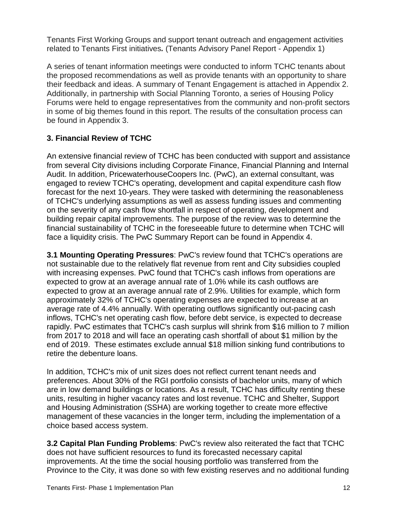Tenants First Working Groups and support tenant outreach and engagement activities related to Tenants First initiatives*.* (Tenants Advisory Panel Report - Appendix 1)

A series of tenant information meetings were conducted to inform TCHC tenants about the proposed recommendations as well as provide tenants with an opportunity to share their feedback and ideas. A summary of Tenant Engagement is attached in Appendix 2. Additionally, in partnership with Social Planning Toronto, a series of Housing Policy Forums were held to engage representatives from the community and non-profit sectors in some of big themes found in this report. The results of the consultation process can be found in Appendix 3.

# **3. Financial Review of TCHC**

An extensive financial review of TCHC has been conducted with support and assistance from several City divisions including Corporate Finance, Financial Planning and Internal Audit. In addition, PricewaterhouseCoopers Inc. (PwC), an external consultant, was engaged to review TCHC's operating, development and capital expenditure cash flow forecast for the next 10-years. They were tasked with determining the reasonableness of TCHC's underlying assumptions as well as assess funding issues and commenting on the severity of any cash flow shortfall in respect of operating, development and building repair capital improvements. The purpose of the review was to determine the financial sustainability of TCHC in the foreseeable future to determine when TCHC will face a liquidity crisis. The PwC Summary Report can be found in Appendix 4.

**3.1 Mounting Operating Pressures**: PwC's review found that TCHC's operations are not sustainable due to the relatively flat revenue from rent and City subsidies coupled with increasing expenses. PwC found that TCHC's cash inflows from operations are expected to grow at an average annual rate of 1.0% while its cash outflows are expected to grow at an average annual rate of 2.9%. Utilities for example, which form approximately 32% of TCHC's operating expenses are expected to increase at an average rate of 4.4% annually. With operating outflows significantly out-pacing cash inflows, TCHC's net operating cash flow, before debt service, is expected to decrease rapidly. PwC estimates that TCHC's cash surplus will shrink from \$16 million to 7 million from 2017 to 2018 and will face an operating cash shortfall of about \$1 million by the end of 2019. These estimates exclude annual \$18 million sinking fund contributions to retire the debenture loans.

In addition, TCHC's mix of unit sizes does not reflect current tenant needs and preferences. About 30% of the RGI portfolio consists of bachelor units, many of which are in low demand buildings or locations. As a result, TCHC has difficulty renting these units, resulting in higher vacancy rates and lost revenue. TCHC and Shelter, Support and Housing Administration (SSHA) are working together to create more effective management of these vacancies in the longer term, including the implementation of a choice based access system.

**3.2 Capital Plan Funding Problems**: PwC's review also reiterated the fact that TCHC does not have sufficient resources to fund its forecasted necessary capital improvements. At the time the social housing portfolio was transferred from the Province to the City, it was done so with few existing reserves and no additional funding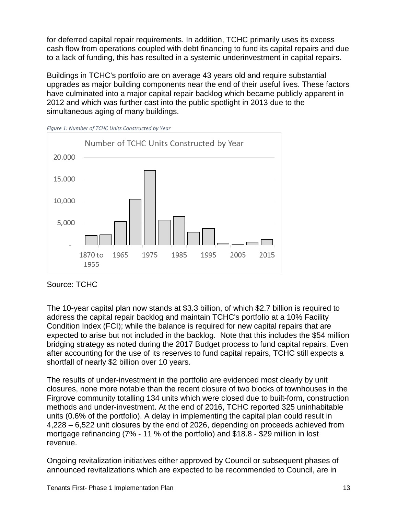for deferred capital repair requirements. In addition, TCHC primarily uses its excess cash flow from operations coupled with debt financing to fund its capital repairs and due to a lack of funding, this has resulted in a systemic underinvestment in capital repairs.

Buildings in TCHC's portfolio are on average 43 years old and require substantial upgrades as major building components near the end of their useful lives. These factors have culminated into a major capital repair backlog which became publicly apparent in 2012 and which was further cast into the public spotlight in 2013 due to the simultaneous aging of many buildings.





#### Source: TCHC

The 10-year capital plan now stands at \$3.3 billion, of which \$2.7 billion is required to address the capital repair backlog and maintain TCHC's portfolio at a 10% Facility Condition Index (FCI); while the balance is required for new capital repairs that are expected to arise but not included in the backlog. Note that this includes the \$54 million bridging strategy as noted during the 2017 Budget process to fund capital repairs. Even after accounting for the use of its reserves to fund capital repairs, TCHC still expects a shortfall of nearly \$2 billion over 10 years.

The results of under-investment in the portfolio are evidenced most clearly by unit closures, none more notable than the recent closure of two blocks of townhouses in the Firgrove community totalling 134 units which were closed due to built-form, construction methods and under-investment. At the end of 2016, TCHC reported 325 uninhabitable units (0.6% of the portfolio). A delay in implementing the capital plan could result in 4,228 – 6,522 unit closures by the end of 2026, depending on proceeds achieved from mortgage refinancing (7% - 11 % of the portfolio) and \$18.8 - \$29 million in lost revenue.

Ongoing revitalization initiatives either approved by Council or subsequent phases of announced revitalizations which are expected to be recommended to Council, are in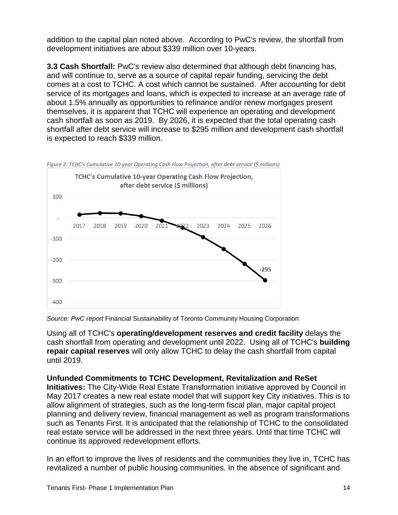addition to the capital plan noted above. According to PwC's review, the shortfall from development initiatives are about \$339 million over 10-years.

**3.3 Cash Shortfall:** PwC's review also determined that although debt financing has, and will continue to, serve as a source of capital repair funding, servicing the debt comes at a cost to TCHC. A cost which cannot be sustained. After accounting for debt service of its mortgages and loans, which is expected to increase at an average rate of about 1.5% annually as opportunities to refinance and/or renew mortgages present themselves, it is apparent that TCHC will experience an operating and development cash shortfall as soon as 2019. By 2026, it is expected that the total operating cash shortfall after debt service will increase to \$295 million and development cash shortfall is expected to reach \$339 million.



*Figure 2: TCHC's Cumulative 10-year Operating Cash Flow Projection, after debt service (\$ millions)*

*Source: PwC report* Financial Sustainability of Toronto Community Housing Corporation

Using all of TCHC's **operating/development reserves and credit facility** delays the cash shortfall from operating and development until 2022. Using all of TCHC's **building repair capital reserves** will only allow TCHC to delay the cash shortfall from capital until 2019.

# **Unfunded Commitments to TCHC Development, Revitalization and ReSet**

**Initiatives:** The City-Wide Real Estate Transformation initiative approved by Council in May 2017 creates a new real estate model that will support key City initiatives. This is to allow alignment of strategies, such as the long-term fiscal plan, major capital project planning and delivery review, financial management as well as program transformations such as Tenants First. It is anticipated that the relationship of TCHC to the consolidated real estate service will be addressed in the next three years. Until that time TCHC will continue its approved redevelopment efforts.

In an effort to improve the lives of residents and the communities they live in, TCHC has revitalized a number of public housing communities. In the absence of significant and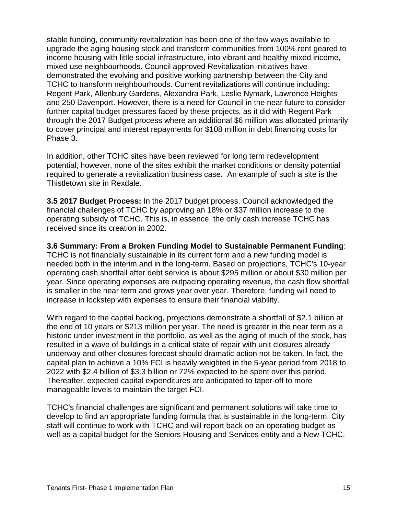stable funding, community revitalization has been one of the few ways available to upgrade the aging housing stock and transform communities from 100% rent geared to income housing with little social infrastructure, into vibrant and healthy mixed income, mixed use neighbourhoods. Council approved Revitalization initiatives have demonstrated the evolving and positive working partnership between the City and TCHC to transform neighbourhoods. Current revitalizations will continue including: Regent Park, Allenbury Gardens, Alexandra Park, Leslie Nymark, Lawrence Heights and 250 Davenport. However, there is a need for Council in the near future to consider further capital budget pressures faced by these projects, as it did with Regent Park through the 2017 Budget process where an additional \$6 million was allocated primarily to cover principal and interest repayments for \$108 million in debt financing costs for Phase 3.

In addition, other TCHC sites have been reviewed for long term redevelopment potential, however, none of the sites exhibit the market conditions or density potential required to generate a revitalization business case. An example of such a site is the Thistletown site in Rexdale.

**3.5 2017 Budget Process:** In the 2017 budget process, Council acknowledged the financial challenges of TCHC by approving an 18% or \$37 million increase to the operating subsidy of TCHC. This is, in essence, the only cash increase TCHC has received since its creation in 2002.

**3.6 Summary: From a Broken Funding Model to Sustainable Permanent Funding**: TCHC is not financially sustainable in its current form and a new funding model is needed both in the interim and in the long-term. Based on projections, TCHC's 10-year operating cash shortfall after debt service is about \$295 million or about \$30 million per year. Since operating expenses are outpacing operating revenue, the cash flow shortfall is smaller in the near term and grows year over year. Therefore, funding will need to increase in lockstep with expenses to ensure their financial viability.

With regard to the capital backlog, projections demonstrate a shortfall of \$2.1 billion at the end of 10 years or \$213 million per year. The need is greater in the near term as a historic under investment in the portfolio, as well as the aging of much of the stock, has resulted in a wave of buildings in a critical state of repair with unit closures already underway and other closures forecast should dramatic action not be taken. In fact, the capital plan to achieve a 10% FCI is heavily weighted in the 5-year period from 2018 to 2022 with \$2.4 billion of \$3.3 billion or 72% expected to be spent over this period. Thereafter, expected capital expenditures are anticipated to taper-off to more manageable levels to maintain the target FCI.

TCHC's financial challenges are significant and permanent solutions will take time to develop to find an appropriate funding formula that is sustainable in the long-term. City staff will continue to work with TCHC and will report back on an operating budget as well as a capital budget for the Seniors Housing and Services entity and a New TCHC.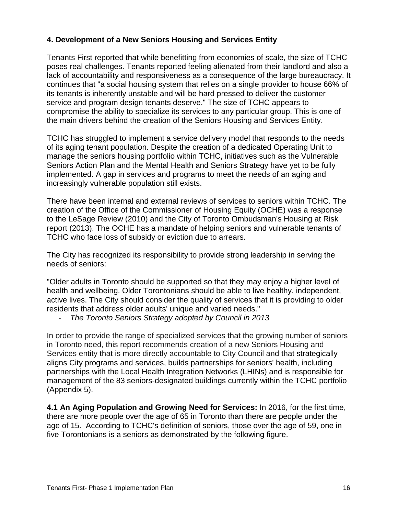## **4. Development of a New Seniors Housing and Services Entity**

Tenants First reported that while benefitting from economies of scale, the size of TCHC poses real challenges. Tenants reported feeling alienated from their landlord and also a lack of accountability and responsiveness as a consequence of the large bureaucracy. It continues that "a social housing system that relies on a single provider to house 66% of its tenants is inherently unstable and will be hard pressed to deliver the customer service and program design tenants deserve." The size of TCHC appears to compromise the ability to specialize its services to any particular group. This is one of the main drivers behind the creation of the Seniors Housing and Services Entity.

TCHC has struggled to implement a service delivery model that responds to the needs of its aging tenant population. Despite the creation of a dedicated Operating Unit to manage the seniors housing portfolio within TCHC, initiatives such as the Vulnerable Seniors Action Plan and the Mental Health and Seniors Strategy have yet to be fully implemented. A gap in services and programs to meet the needs of an aging and increasingly vulnerable population still exists.

There have been internal and external reviews of services to seniors within TCHC. The creation of the Office of the Commissioner of Housing Equity (OCHE) was a response to the LeSage Review (2010) and the City of Toronto Ombudsman's Housing at Risk report (2013). The OCHE has a mandate of helping seniors and vulnerable tenants of TCHC who face loss of subsidy or eviction due to arrears.

The City has recognized its responsibility to provide strong leadership in serving the needs of seniors:

"Older adults in Toronto should be supported so that they may enjoy a higher level of health and wellbeing. Older Torontonians should be able to live healthy, independent, active lives. The City should consider the quality of services that it is providing to older residents that address older adults' unique and varied needs."

- *The Toronto Seniors Strategy adopted by Council in 2013*

In order to provide the range of specialized services that the growing number of seniors in Toronto need, this report recommends creation of a new Seniors Housing and Services entity that is more directly accountable to City Council and that strategically aligns City programs and services, builds partnerships for seniors' health, including partnerships with the Local Health Integration Networks (LHINs) and is responsible for management of the 83 seniors-designated buildings currently within the TCHC portfolio (Appendix 5).

**4.1 An Aging Population and Growing Need for Services:** In 2016, for the first time, there are more people over the age of 65 in Toronto than there are people under the age of 15. According to TCHC's definition of seniors, those over the age of 59, one in five Torontonians is a seniors as demonstrated by the following figure.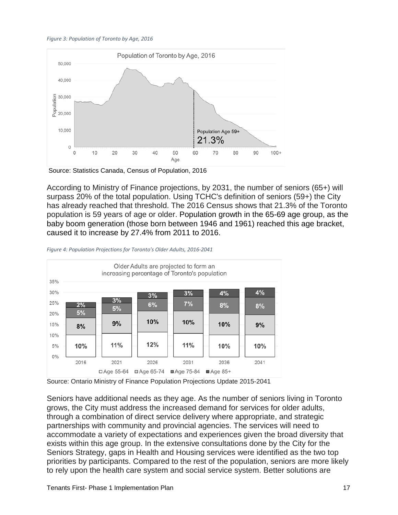#### *Figure 3: Population of Toronto by Age, 2016*



According to Ministry of Finance projections, by 2031, the number of seniors (65+) will surpass 20% of the total population. Using TCHC's definition of seniors (59+) the City has already reached that threshold. The 2016 Census shows that 21.3% of the Toronto population is 59 years of age or older. Population growth in the 65-69 age group, as the baby boom generation (those born between 1946 and 1961) reached this age bracket, caused it to increase by 27.4% from 2011 to 2016.



#### *Figure 4: Population Projections for Toronto's Older Adults, 2016-2041*

Source: Ontario Ministry of Finance Population Projections Update 2015-2041

Seniors have additional needs as they age. As the number of seniors living in Toronto grows, the City must address the increased demand for services for older adults, through a combination of direct service delivery where appropriate, and strategic partnerships with community and provincial agencies. The services will need to accommodate a variety of expectations and experiences given the broad diversity that exists within this age group. In the extensive consultations done by the City for the Seniors Strategy, gaps in Health and Housing services were identified as the two top priorities by participants. Compared to the rest of the population, seniors are more likely to rely upon the health care system and social service system. Better solutions are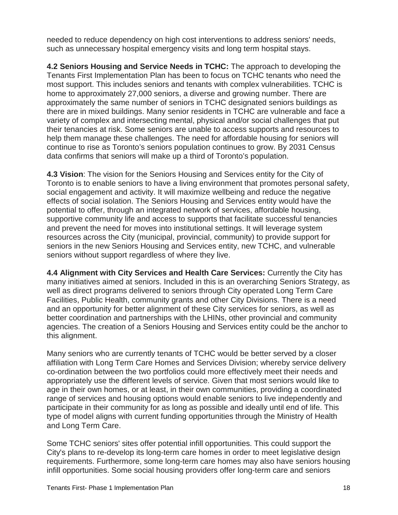needed to reduce dependency on high cost interventions to address seniors' needs, such as unnecessary hospital emergency visits and long term hospital stays.

**4.2 Seniors Housing and Service Needs in TCHC:** The approach to developing the Tenants First Implementation Plan has been to focus on TCHC tenants who need the most support. This includes seniors and tenants with complex vulnerabilities. TCHC is home to approximately 27,000 seniors, a diverse and growing number. There are approximately the same number of seniors in TCHC designated seniors buildings as there are in mixed buildings. Many senior residents in TCHC are vulnerable and face a variety of complex and intersecting mental, physical and/or social challenges that put their tenancies at risk. Some seniors are unable to access supports and resources to help them manage these challenges. The need for affordable housing for seniors will continue to rise as Toronto's seniors population continues to grow. By 2031 Census data confirms that seniors will make up a third of Toronto's population.

**4.3 Vision**: The vision for the Seniors Housing and Services entity for the City of Toronto is to enable seniors to have a living environment that promotes personal safety, social engagement and activity. It will maximize wellbeing and reduce the negative effects of social isolation. The Seniors Housing and Services entity would have the potential to offer, through an integrated network of services, affordable housing, supportive community life and access to supports that facilitate successful tenancies and prevent the need for moves into institutional settings. It will leverage system resources across the City (municipal, provincial, community) to provide support for seniors in the new Seniors Housing and Services entity, new TCHC, and vulnerable seniors without support regardless of where they live.

**4.4 Alignment with City Services and Health Care Services:** Currently the City has many initiatives aimed at seniors. Included in this is an overarching Seniors Strategy, as well as direct programs delivered to seniors through City operated Long Term Care Facilities, Public Health, community grants and other City Divisions. There is a need and an opportunity for better alignment of these City services for seniors, as well as better coordination and partnerships with the LHINs, other provincial and community agencies. The creation of a Seniors Housing and Services entity could be the anchor to this alignment.

Many seniors who are currently tenants of TCHC would be better served by a closer affiliation with Long Term Care Homes and Services Division; whereby service delivery co-ordination between the two portfolios could more effectively meet their needs and appropriately use the different levels of service. Given that most seniors would like to age in their own homes, or at least, in their own communities, providing a coordinated range of services and housing options would enable seniors to live independently and participate in their community for as long as possible and ideally until end of life. This type of model aligns with current funding opportunities through the Ministry of Health and Long Term Care.

Some TCHC seniors' sites offer potential infill opportunities. This could support the City's plans to re-develop its long-term care homes in order to meet legislative design requirements. Furthermore, some long-term care homes may also have seniors housing infill opportunities. Some social housing providers offer long-term care and seniors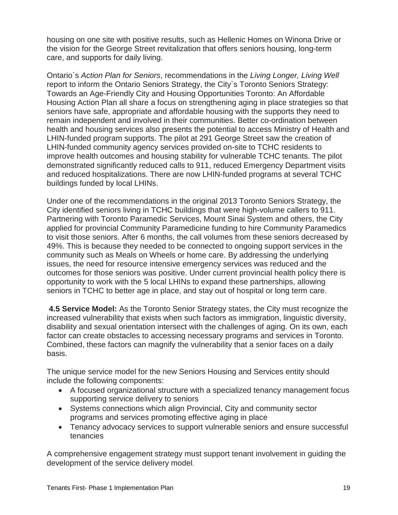housing on one site with positive results, such as Hellenic Homes on Winona Drive or the vision for the George Street revitalization that offers seniors housing, long-term care, and supports for daily living.

Ontario`s *Action Plan for Seniors*, recommendations in the *Living Longer, Living Well*  report to inform the Ontario Seniors Strategy, the City`s Toronto Seniors Strategy: Towards an Age-Friendly City and Housing Opportunities Toronto: An Affordable Housing Action Plan all share a focus on strengthening aging in place strategies so that seniors have safe, appropriate and affordable housing with the supports they need to remain independent and involved in their communities. Better co-ordination between health and housing services also presents the potential to access Ministry of Health and LHIN-funded program supports. The pilot at 291 George Street saw the creation of LHIN-funded community agency services provided on-site to TCHC residents to improve health outcomes and housing stability for vulnerable TCHC tenants. The pilot demonstrated significantly reduced calls to 911, reduced Emergency Department visits and reduced hospitalizations. There are now LHIN-funded programs at several TCHC buildings funded by local LHINs.

Under one of the recommendations in the original 2013 Toronto Seniors Strategy, the City identified seniors living in TCHC buildings that were high-volume callers to 911. Partnering with Toronto Paramedic Services, Mount Sinai System and others, the City applied for provincial Community Paramedicine funding to hire Community Paramedics to visit those seniors. After 6 months, the call volumes from these seniors decreased by 49%. This is because they needed to be connected to ongoing support services in the community such as Meals on Wheels or home care. By addressing the underlying issues, the need for resource intensive emergency services was reduced and the outcomes for those seniors was positive. Under current provincial health policy there is opportunity to work with the 5 local LHINs to expand these partnerships, allowing seniors in TCHC to better age in place, and stay out of hospital or long term care.

**4.5 Service Model:** As the Toronto Senior Strategy states, the City must recognize the increased vulnerability that exists when such factors as immigration, linguistic diversity, disability and sexual orientation intersect with the challenges of aging. On its own, each factor can create obstacles to accessing necessary programs and services in Toronto. Combined, these factors can magnify the vulnerability that a senior faces on a daily basis.

The unique service model for the new Seniors Housing and Services entity should include the following components:

- A focused organizational structure with a specialized tenancy management focus supporting service delivery to seniors
- Systems connections which align Provincial, City and community sector programs and services promoting effective aging in place
- Tenancy advocacy services to support vulnerable seniors and ensure successful tenancies

A comprehensive engagement strategy must support tenant involvement in guiding the development of the service delivery model.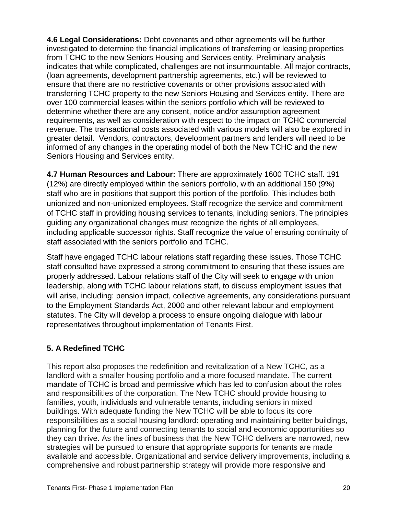**4.6 Legal Considerations:** Debt covenants and other agreements will be further investigated to determine the financial implications of transferring or leasing properties from TCHC to the new Seniors Housing and Services entity. Preliminary analysis indicates that while complicated, challenges are not insurmountable. All major contracts, (loan agreements, development partnership agreements, etc.) will be reviewed to ensure that there are no restrictive covenants or other provisions associated with transferring TCHC property to the new Seniors Housing and Services entity. There are over 100 commercial leases within the seniors portfolio which will be reviewed to determine whether there are any consent, notice and/or assumption agreement requirements, as well as consideration with respect to the impact on TCHC commercial revenue. The transactional costs associated with various models will also be explored in greater detail. Vendors, contractors, development partners and lenders will need to be informed of any changes in the operating model of both the New TCHC and the new Seniors Housing and Services entity.

**4.7 Human Resources and Labour:** There are approximately 1600 TCHC staff. 191 (12%) are directly employed within the seniors portfolio, with an additional 150 (9%) staff who are in positions that support this portion of the portfolio. This includes both unionized and non-unionized employees. Staff recognize the service and commitment of TCHC staff in providing housing services to tenants, including seniors. The principles guiding any organizational changes must recognize the rights of all employees, including applicable successor rights. Staff recognize the value of ensuring continuity of staff associated with the seniors portfolio and TCHC.

Staff have engaged TCHC labour relations staff regarding these issues. Those TCHC staff consulted have expressed a strong commitment to ensuring that these issues are properly addressed. Labour relations staff of the City will seek to engage with union leadership, along with TCHC labour relations staff, to discuss employment issues that will arise, including: pension impact, collective agreements, any considerations pursuant to the Employment Standards Act, 2000 and other relevant labour and employment statutes. The City will develop a process to ensure ongoing dialogue with labour representatives throughout implementation of Tenants First.

# **5. A Redefined TCHC**

This report also proposes the redefinition and revitalization of a New TCHC, as a landlord with a smaller housing portfolio and a more focused mandate. The current mandate of TCHC is broad and permissive which has led to confusion about the roles and responsibilities of the corporation. The New TCHC should provide housing to families, youth, individuals and vulnerable tenants, including seniors in mixed buildings. With adequate funding the New TCHC will be able to focus its core responsibilities as a social housing landlord: operating and maintaining better buildings, planning for the future and connecting tenants to social and economic opportunities so they can thrive. As the lines of business that the New TCHC delivers are narrowed, new strategies will be pursued to ensure that appropriate supports for tenants are made available and accessible. Organizational and service delivery improvements, including a comprehensive and robust partnership strategy will provide more responsive and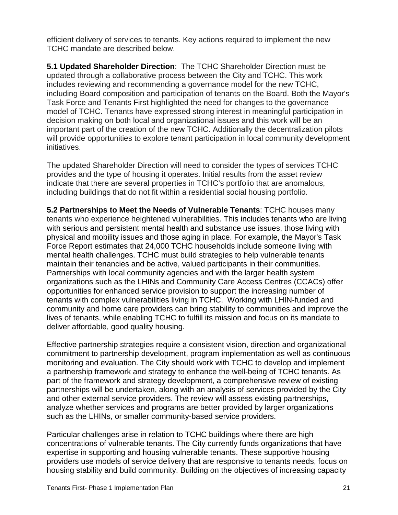efficient delivery of services to tenants. Key actions required to implement the new TCHC mandate are described below.

**5.1 Updated Shareholder Direction**: The TCHC Shareholder Direction must be updated through a collaborative process between the City and TCHC. This work includes reviewing and recommending a governance model for the new TCHC, including Board composition and participation of tenants on the Board. Both the Mayor's Task Force and Tenants First highlighted the need for changes to the governance model of TCHC. Tenants have expressed strong interest in meaningful participation in decision making on both local and organizational issues and this work will be an important part of the creation of the new TCHC. Additionally the decentralization pilots will provide opportunities to explore tenant participation in local community development initiatives.

The updated Shareholder Direction will need to consider the types of services TCHC provides and the type of housing it operates. Initial results from the asset review indicate that there are several properties in TCHC's portfolio that are anomalous, including buildings that do not fit within a residential social housing portfolio.

**5.2 Partnerships to Meet the Needs of Vulnerable Tenants**: TCHC houses many tenants who experience heightened vulnerabilities. This includes tenants who are living with serious and persistent mental health and substance use issues, those living with physical and mobility issues and those aging in place. For example, the Mayor's Task Force Report estimates that 24,000 TCHC households include someone living with mental health challenges. TCHC must build strategies to help vulnerable tenants maintain their tenancies and be active, valued participants in their communities. Partnerships with local community agencies and with the larger health system organizations such as the LHINs and Community Care Access Centres (CCACs) offer opportunities for enhanced service provision to support the increasing number of tenants with complex vulnerabilities living in TCHC. Working with LHIN-funded and community and home care providers can bring stability to communities and improve the lives of tenants, while enabling TCHC to fulfill its mission and focus on its mandate to deliver affordable, good quality housing.

Effective partnership strategies require a consistent vision, direction and organizational commitment to partnership development, program implementation as well as continuous monitoring and evaluation. The City should work with TCHC to develop and implement a partnership framework and strategy to enhance the well-being of TCHC tenants. As part of the framework and strategy development, a comprehensive review of existing partnerships will be undertaken, along with an analysis of services provided by the City and other external service providers. The review will assess existing partnerships, analyze whether services and programs are better provided by larger organizations such as the LHINs, or smaller community-based service providers.

Particular challenges arise in relation to TCHC buildings where there are high concentrations of vulnerable tenants. The City currently funds organizations that have expertise in supporting and housing vulnerable tenants. These supportive housing providers use models of service delivery that are responsive to tenants needs, focus on housing stability and build community. Building on the objectives of increasing capacity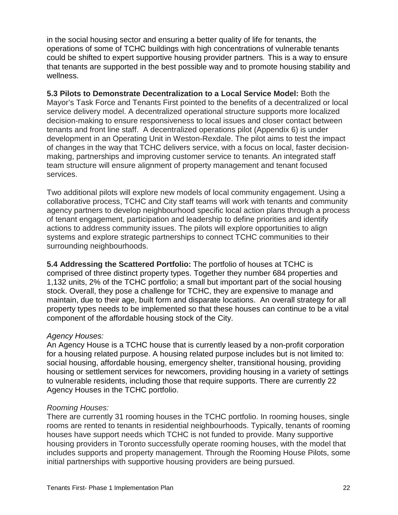in the social housing sector and ensuring a better quality of life for tenants, the operations of some of TCHC buildings with high concentrations of vulnerable tenants could be shifted to expert supportive housing provider partners. This is a way to ensure that tenants are supported in the best possible way and to promote housing stability and wellness.

**5.3 Pilots to Demonstrate Decentralization to a Local Service Model:** Both the Mayor's Task Force and Tenants First pointed to the benefits of a decentralized or local service delivery model. A decentralized operational structure supports more localized decision-making to ensure responsiveness to local issues and closer contact between tenants and front line staff. A decentralized operations pilot (Appendix 6) is under development in an Operating Unit in Weston-Rexdale. The pilot aims to test the impact of changes in the way that TCHC delivers service, with a focus on local, faster decisionmaking, partnerships and improving customer service to tenants. An integrated staff team structure will ensure alignment of property management and tenant focused services.

Two additional pilots will explore new models of local community engagement. Using a collaborative process, TCHC and City staff teams will work with tenants and community agency partners to develop neighbourhood specific local action plans through a process of tenant engagement, participation and leadership to define priorities and identify actions to address community issues. The pilots will explore opportunities to align systems and explore strategic partnerships to connect TCHC communities to their surrounding neighbourhoods.

**5.4 Addressing the Scattered Portfolio:** The portfolio of houses at TCHC is comprised of three distinct property types. Together they number 684 properties and 1,132 units, 2% of the TCHC portfolio; a small but important part of the social housing stock. Overall, they pose a challenge for TCHC, they are expensive to manage and maintain, due to their age, built form and disparate locations. An overall strategy for all property types needs to be implemented so that these houses can continue to be a vital component of the affordable housing stock of the City.

#### *Agency Houses:*

An Agency House is a TCHC house that is currently leased by a non-profit corporation for a housing related purpose. A housing related purpose includes but is not limited to: social housing, affordable housing, emergency shelter, transitional housing, providing housing or settlement services for newcomers, providing housing in a variety of settings to vulnerable residents, including those that require supports. There are currently 22 Agency Houses in the TCHC portfolio.

# *Rooming Houses:*

There are currently 31 rooming houses in the TCHC portfolio. In rooming houses, single rooms are rented to tenants in residential neighbourhoods. Typically, tenants of rooming houses have support needs which TCHC is not funded to provide. Many supportive housing providers in Toronto successfully operate rooming houses, with the model that includes supports and property management. Through the Rooming House Pilots, some initial partnerships with supportive housing providers are being pursued.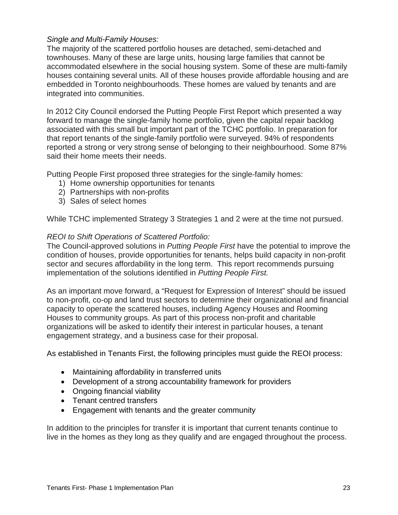#### *Single and Multi-Family Houses:*

The majority of the scattered portfolio houses are detached, semi-detached and townhouses. Many of these are large units, housing large families that cannot be accommodated elsewhere in the social housing system. Some of these are multi-family houses containing several units. All of these houses provide affordable housing and are embedded in Toronto neighbourhoods. These homes are valued by tenants and are integrated into communities.

In 2012 City Council endorsed the Putting People First Report which presented a way forward to manage the single-family home portfolio, given the capital repair backlog associated with this small but important part of the TCHC portfolio. In preparation for that report tenants of the single-family portfolio were surveyed. 94% of respondents reported a strong or very strong sense of belonging to their neighbourhood. Some 87% said their home meets their needs.

Putting People First proposed three strategies for the single-family homes:

- 1) Home ownership opportunities for tenants
- 2) Partnerships with non-profits
- 3) Sales of select homes

While TCHC implemented Strategy 3 Strategies 1 and 2 were at the time not pursued.

#### *REOI to Shift Operations of Scattered Portfolio:*

The Council-approved solutions in *Putting People First* have the potential to improve the condition of houses, provide opportunities for tenants, helps build capacity in non-profit sector and secures affordability in the long term. This report recommends pursuing implementation of the solutions identified in *Putting People First.*

As an important move forward, a "Request for Expression of Interest" should be issued to non-profit, co-op and land trust sectors to determine their organizational and financial capacity to operate the scattered houses, including Agency Houses and Rooming Houses to community groups. As part of this process non-profit and charitable organizations will be asked to identify their interest in particular houses, a tenant engagement strategy, and a business case for their proposal.

As established in Tenants First, the following principles must guide the REOI process:

- Maintaining affordability in transferred units
- Development of a strong accountability framework for providers
- Ongoing financial viability
- Tenant centred transfers
- Engagement with tenants and the greater community

In addition to the principles for transfer it is important that current tenants continue to live in the homes as they long as they qualify and are engaged throughout the process.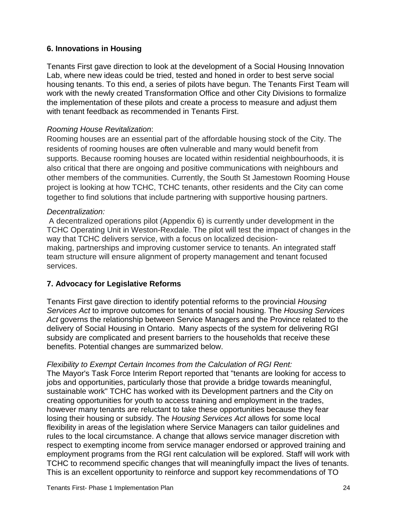# **6. Innovations in Housing**

Tenants First gave direction to look at the development of a Social Housing Innovation Lab, where new ideas could be tried, tested and honed in order to best serve social housing tenants. To this end, a series of pilots have begun. The Tenants First Team will work with the newly created Transformation Office and other City Divisions to formalize the implementation of these pilots and create a process to measure and adjust them with tenant feedback as recommended in Tenants First.

#### *Rooming House Revitalization*:

Rooming houses are an essential part of the affordable housing stock of the City. The residents of rooming houses are often vulnerable and many would benefit from supports. Because rooming houses are located within residential neighbourhoods, it is also critical that there are ongoing and positive communications with neighbours and other members of the communities. Currently, the South St Jamestown Rooming House project is looking at how TCHC, TCHC tenants, other residents and the City can come together to find solutions that include partnering with supportive housing partners.

#### *Decentralization:*

A decentralized operations pilot (Appendix 6) is currently under development in the TCHC Operating Unit in Weston-Rexdale. The pilot will test the impact of changes in the way that TCHC delivers service, with a focus on localized decisionmaking, partnerships and improving customer service to tenants. An integrated staff team structure will ensure alignment of property management and tenant focused services.

#### **7. Advocacy for Legislative Reforms**

Tenants First gave direction to identify potential reforms to the provincial *Housing Services Act* to improve outcomes for tenants of social housing. The *Housing Services Act* governs the relationship between Service Managers and the Province related to the delivery of Social Housing in Ontario. Many aspects of the system for delivering RGI subsidy are complicated and present barriers to the households that receive these benefits. Potential changes are summarized below.

#### *Flexibility to Exempt Certain Incomes from the Calculation of RGI Rent:*

The Mayor's Task Force Interim Report reported that "tenants are looking for access to jobs and opportunities, particularly those that provide a bridge towards meaningful, sustainable work" TCHC has worked with its Development partners and the City on creating opportunities for youth to access training and employment in the trades, however many tenants are reluctant to take these opportunities because they fear losing their housing or subsidy. The *Housing Services Act* allows for some local flexibility in areas of the legislation where Service Managers can tailor guidelines and rules to the local circumstance. A change that allows service manager discretion with respect to exempting income from service manager endorsed or approved training and employment programs from the RGI rent calculation will be explored. Staff will work with TCHC to recommend specific changes that will meaningfully impact the lives of tenants. This is an excellent opportunity to reinforce and support key recommendations of TO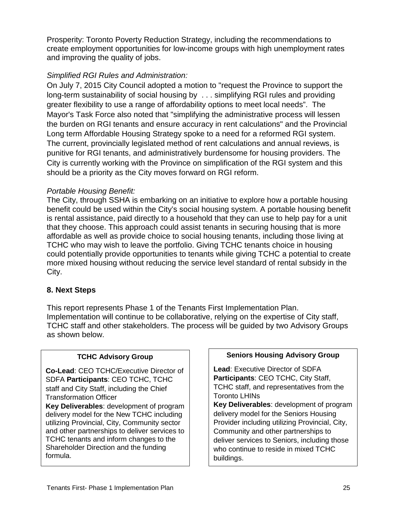Prosperity: Toronto Poverty Reduction Strategy, including the recommendations to create employment opportunities for low-income groups with high unemployment rates and improving the quality of jobs.

# *Simplified RGI Rules and Administration:*

On July 7, 2015 City Council adopted a motion to "request the Province to support the long-term sustainability of social housing by . . . simplifying RGI rules and providing greater flexibility to use a range of affordability options to meet local needs". The Mayor's Task Force also noted that "simplifying the administrative process will lessen the burden on RGI tenants and ensure accuracy in rent calculations" and the Provincial Long term Affordable Housing Strategy spoke to a need for a reformed RGI system. The current, provincially legislated method of rent calculations and annual reviews, is punitive for RGI tenants, and administratively burdensome for housing providers. The City is currently working with the Province on simplification of the RGI system and this should be a priority as the City moves forward on RGI reform.

# *Portable Housing Benefit:*

The City, through SSHA is embarking on an initiative to explore how a portable housing benefit could be used within the City's social housing system. A portable housing benefit is rental assistance, paid directly to a household that they can use to help pay for a unit that they choose. This approach could assist tenants in securing housing that is more affordable as well as provide choice to social housing tenants, including those living at TCHC who may wish to leave the portfolio. Giving TCHC tenants choice in housing could potentially provide opportunities to tenants while giving TCHC a potential to create more mixed housing without reducing the service level standard of rental subsidy in the City.

# **8. Next Steps**

This report represents Phase 1 of the Tenants First Implementation Plan. Implementation will continue to be collaborative, relying on the expertise of City staff, TCHC staff and other stakeholders. The process will be guided by two Advisory Groups as shown below.

# **TCHC Advisory Group**

**Co-Lead**: CEO TCHC/Executive Director of SDFA **Participants**: CEO TCHC, TCHC staff and City Staff, including the Chief Transformation Officer

**Key Deliverables**: development of program delivery model for the New TCHC including utilizing Provincial, City, Community sector and other partnerships to deliver services to TCHC tenants and inform changes to the Shareholder Direction and the funding formula.

#### **Seniors Housing Advisory Group**

**Lead**: Executive Director of SDFA **Participants**: CEO TCHC, City Staff, TCHC staff, and representatives from the Toronto LHINs

**Key Deliverables**: development of program delivery model for the Seniors Housing Provider including utilizing Provincial, City, Community and other partnerships to deliver services to Seniors, including those who continue to reside in mixed TCHC buildings.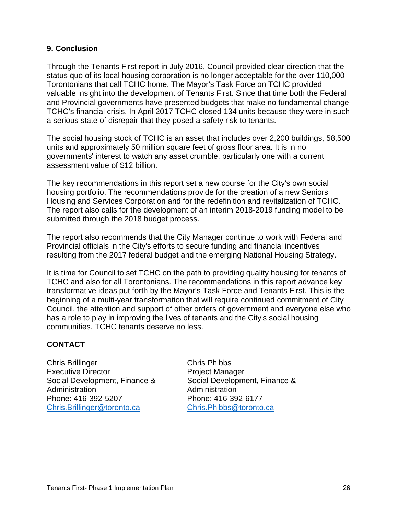#### **9. Conclusion**

Through the Tenants First report in July 2016, Council provided clear direction that the status quo of its local housing corporation is no longer acceptable for the over 110,000 Torontonians that call TCHC home. The Mayor's Task Force on TCHC provided valuable insight into the development of Tenants First*.* Since that time both the Federal and Provincial governments have presented budgets that make no fundamental change TCHC's financial crisis. In April 2017 TCHC closed 134 units because they were in such a serious state of disrepair that they posed a safety risk to tenants.

The social housing stock of TCHC is an asset that includes over 2,200 buildings, 58,500 units and approximately 50 million square feet of gross floor area. It is in no governments' interest to watch any asset crumble, particularly one with a current assessment value of \$12 billion.

The key recommendations in this report set a new course for the City's own social housing portfolio. The recommendations provide for the creation of a new Seniors Housing and Services Corporation and for the redefinition and revitalization of TCHC. The report also calls for the development of an interim 2018-2019 funding model to be submitted through the 2018 budget process.

The report also recommends that the City Manager continue to work with Federal and Provincial officials in the City's efforts to secure funding and financial incentives resulting from the 2017 federal budget and the emerging National Housing Strategy.

It is time for Council to set TCHC on the path to providing quality housing for tenants of TCHC and also for all Torontonians. The recommendations in this report advance key transformative ideas put forth by the Mayor's Task Force and Tenants First. This is the beginning of a multi-year transformation that will require continued commitment of City Council, the attention and support of other orders of government and everyone else who has a role to play in improving the lives of tenants and the City's social housing communities. TCHC tenants deserve no less.

# **CONTACT**

Chris Brillinger Chris Phibbs Executive Director **Project Manager** Administration **Administration** Phone: 416-392-5207 Phone: 416-392-6177 [Chris.Brillinger@toronto.ca](mailto:Chris.Brillinger@toronto.ca) [Chris.Phibbs@toronto.ca](mailto:Chris.Phibbs@toronto.ca) 

Social Development, Finance & Social Development, Finance &